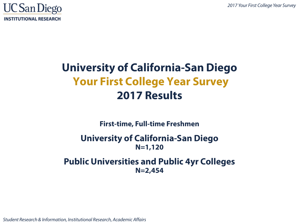

# **University of California-San Diego Your First College Year Survey 2017 Results**

**First-time, Full-time Freshmen**

#### **University of California-San Diego N=1,120**

#### **Public Universities and Public 4yr Colleges N=2,454**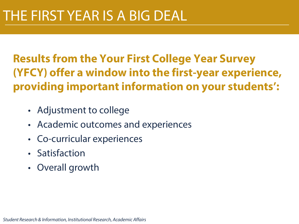# **Results from the Your First College Year Survey (YFCY) offer a window into the first-year experience, providing important information on your students':**

- Adjustment to college
- Academic outcomes and experiences
- Co-curricular experiences
- Satisfaction
- Overall growth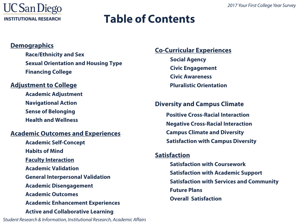

### **Table of Contents**

#### **Demographics**

**Race/Ethnicity and Sex Sexual Orientation and Housing Type Financing College**

#### **Adjustment to College**

**Academic Adjustment Navigational Action Sense of Belonging Health and Wellness**

#### **Academic Outcomes and Experiences**

**Academic Self-Concept Habits of Mind Faculty Interaction Academic Validation General Interpersonal Validation Academic Disengagement Academic Outcomes Academic Enhancement Experiences Active and Collaborative Learning** 

*Student Research & Information, Institutional Research, Academic Affairs* 3

#### **Co-Curricular Experiences**

**Social Agency Civic Engagement Civic Awareness Pluralistic Orientation**

#### **Diversity and Campus Climate Positive Cross-Racial Interaction Negative Cross-Racial Interaction**

**Campus Climate and Diversity Satisfaction with Campus Diversity**

#### **Satisfaction**

**Satisfaction with Coursework Satisfaction with Academic Support Satisfaction with Services and Community Future Plans Overall Satisfaction**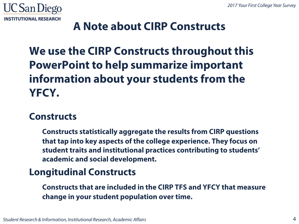

### **A Note about CIRP Constructs**

# **We use the CIRP Constructs throughout this PowerPoint to help summarize important information about your students from the YFCY.**

### **Constructs**

**Constructs statistically aggregate the results from CIRP questions that tap into key aspects of the college experience. They focus on student traits and institutional practices contributing to students' academic and social development.**

### **Longitudinal Constructs**

**Constructs that are included in the CIRP TFS and YFCY that measure change in your student population over time.**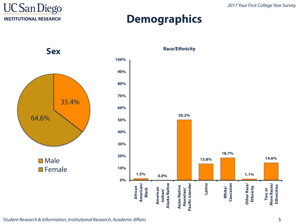

### **Demographics**

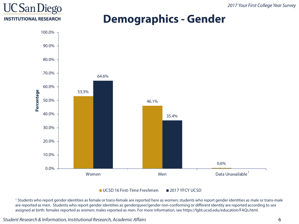### **UC San Diego INSTITUTIONAL RESEARCH**

### **Demographics - Gender**



UCSD 16 First-Time Freshmen 2017 YFCY UCSD

<sup>1</sup> Students who report gender identities as female or trans-female are reported here as women; students who report gender identities as male or trans-male are reported as men. Students who report gender identities as genderqueer/gender non-conforming or different identity are reported according to sex assigned at birth: females reported as women; males reported as men. For more information, see https://lgbt.ucsd.edu/education/FAQs.html.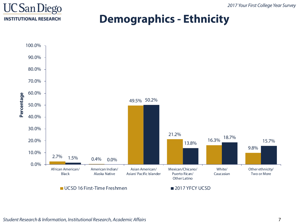

### **Demographics - Ethnicity**

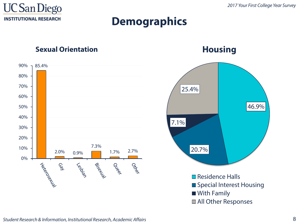

### **Demographics**

#### **Sexual Orientation**



**Housing**



All Other Responses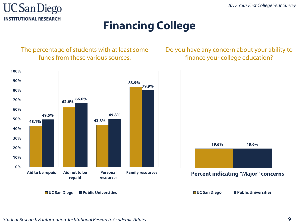

### **Financing College**

The percentage of students with at least some funds from these various sources.

Do you have any concern about your ability to finance your college education?

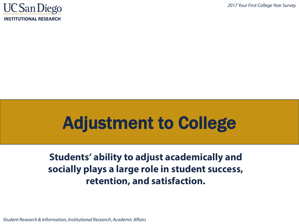

# Adjustment to College

### **Students' ability to adjust academically and socially plays a large role in student success, retention, and satisfaction.**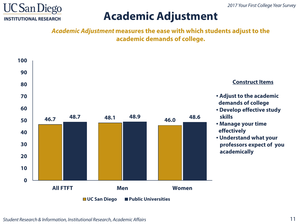

### **Academic Adjustment**

*Academic Adjustment* **measures the ease with which students adjust to the academic demands of college.**

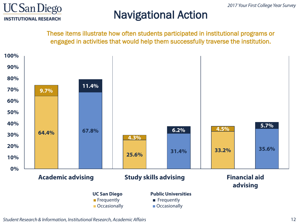

### Navigational Action

These items illustrate how often students participated in institutional programs or engaged in activities that would help them successfully traverse the institution.

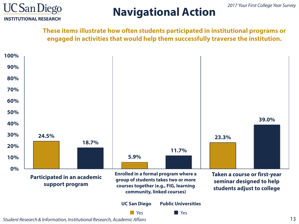

# **Navigational Action**

**These items illustrate how often students participated in institutional programs or engaged in activities that would help them successfully traverse the institution.**

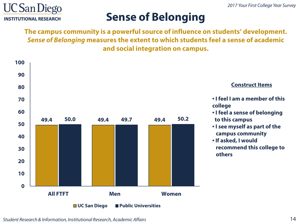

## **Sense of Belonging**

**The campus community is a powerful source of influence on students' development.**  *Sense of Belonging* **measures the extent to which students feel a sense of academic and social integration on campus.**

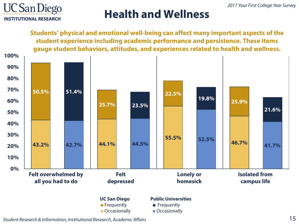

### **Health and Wellness**

**Students' physical and emotional well-being can affect many important aspects of the student experience including academic performance and persistence. These items gauge student behaviors, attitudes, and experiences related to health and wellness. 43.2% 42.7% 44.1% 44.5% 55.5% 52.5% 46.7% 41.7% 50.5% 51.4% 25.7% 23.5% 22.5% 19.8% 25.9% 21.6% 0% 10% 20% 30% 40% 50% 60% 70% 80% 90% 100% Felt overwhelmed by all you had to do Felt depressed Lonely or homesick Isolated from campus life UC San Diego ■** Frequently **Public Universities ■** Frequently

**■** Occasionally

■ Occasionally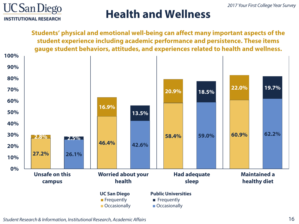

### **Health and Wellness**

**Students' physical and emotional well-being can affect many important aspects of the student experience including academic performance and persistence. These items gauge student behaviors, attitudes, and experiences related to health and wellness. 27.2% 26.1% 46.4% 42.6% 58.4% 59.0% 60.9% 62.2% 2.8% 2.5% 16.9% 13.5% 20.9% 18.5% 22.0% 19.7% 0% 10% 20% 30% 40% 50% 60% 70% 80% 90% 100% Unsafe on this campus Worried about your health Had adequate sleep Maintained a healthy diet UC San Diego ■** Frequently **■** Occasionally **Public Universities ■** Frequently ■ Occasionally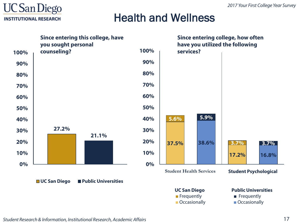

### Health and Wellness

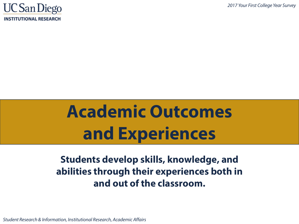

# **Academic Outcomes and Experiences**

### **Students develop skills, knowledge, and abilities through their experiences both in and out of the classroom.**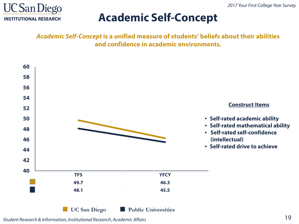

### **Academic Self-Concept**

*Academic Self-Concept* **is a unified measure of students' beliefs about their abilities and confidence in academic environments.**

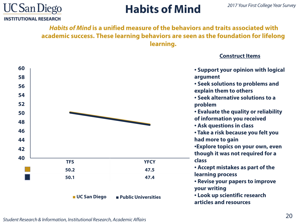

# **Habits of Mind**

*Habits of Mind* **is a unified measure of the behaviors and traits associated with academic success. These learning behaviors are seen as the foundation for lifelong learning.**

#### **Construct Items**

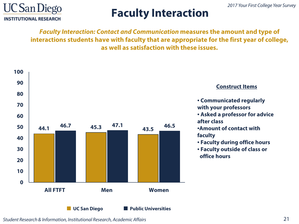

# **Faculty Interaction**

*Faculty Interaction: Contact and Communication* **measures the amount and type of interactions students have with faculty that are appropriate for the first year of college, as well as satisfaction with these issues.**

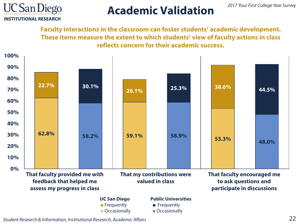

### **Academic Validation**

**Faculty interactions in the classroom can foster students' academic development. These items measure the extent to which students' view of faculty actions in class reflects concern for their academic success.**

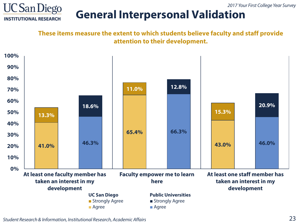

### **General Interpersonal Validation**

**These items measure the extent to which students believe faculty and staff provide attention to their development.**

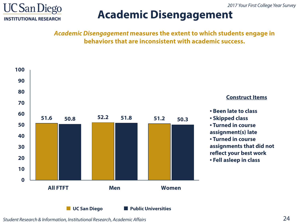

### **Academic Disengagement**

*Academic Disengagement* **measures the extent to which students engage in behaviors that are inconsistent with academic success.** 

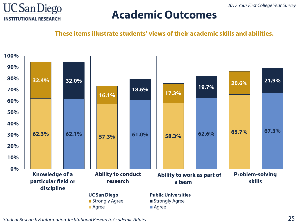

### **Academic Outcomes**

**These items illustrate students' views of their academic skills and abilities.**

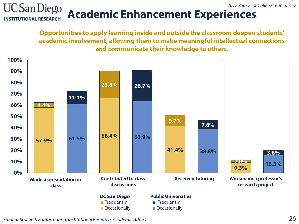

# **Academic Enhancement Experiences**

**Opportunities to apply learning inside and outside the classroom deepen students' academic involvement, allowing them to make meaningful intellectual connections and communicate their knowledge to others.**

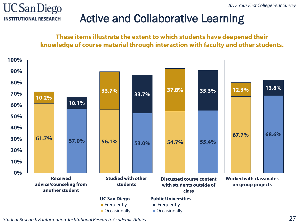

### Active and Collaborative Learning

**These items illustrate the extent to which students have deepened their knowledge of course material through interaction with faculty and other students.**

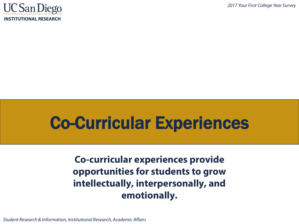

# Co-Curricular Experiences

**Co-curricular experiences provide opportunities for students to grow intellectually, interpersonally, and emotionally.**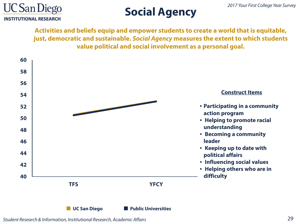

# **Social Agency**

**Activities and beliefs equip and empower students to create a world that is equitable, just, democratic and sustainable.** *Social Agency* **measures the extent to which students value political and social involvement as a personal goal.**

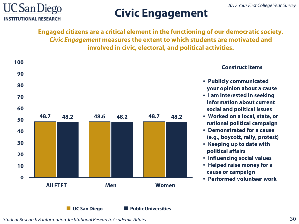

# **Civic Engagement**

**Engaged citizens are a critical element in the functioning of our democratic society.**  *Civic Engagement* **measures the extent to which students are motivated and involved in civic, electoral, and political activities.**



#### **Construct Items**

- **Publicly communicated your opinion about a cause**
- **I am interested in seeking information about current social and political issues**
- **Worked on a local, state, or national political campaign**
- **Demonstrated for a cause (e.g., boycott, rally, protest)**
- **Keeping up to date with political affairs**
- **Influencing social values**
- **Helped raise money for a cause or campaign**
- **Performed volunteer work**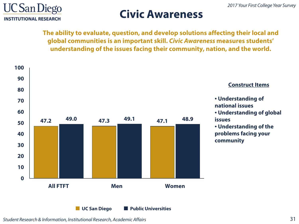

### **Civic Awareness**

**The ability to evaluate, question, and develop solutions affecting their local and global communities is an important skill.** *Civic Awareness* **measures students' understanding of the issues facing their community, nation, and the world.**

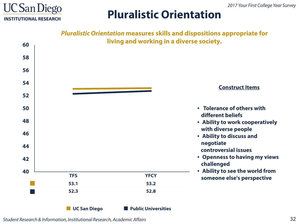

### **Pluralistic Orientation**

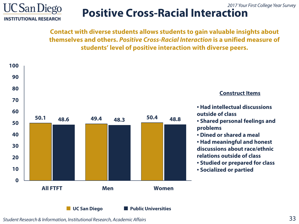

#### *2017 Your First College Year Survey* **Positive Cross-Racial Interaction**

**Contact with diverse students allows students to gain valuable insights about themselves and others.** *Positive Cross-Racial Interaction* **is a unified measure of students' level of positive interaction with diverse peers.**

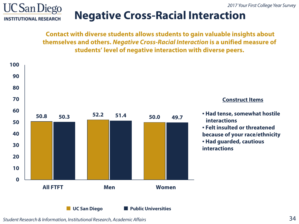

### **Negative Cross-Racial Interaction**

**Contact with diverse students allows students to gain valuable insights about themselves and others.** *Negative Cross-Racial Interaction* **is a unified measure of students' level of negative interaction with diverse peers.**

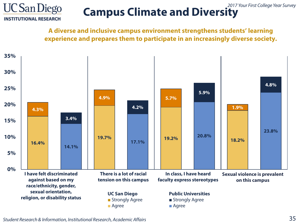

#### *2017 Your First College Year Survey* **Campus Climate and Diversity**

**A diverse and inclusive campus environment strengthens students' learning experience and prepares them to participate in an increasingly diverse society.** 

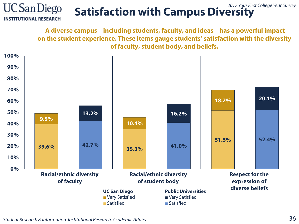#### **UC San Diego** *2017 Your First College Year Survey* **Satisfaction with Campus Diversity INSTITUTIONAL RESEARCH**

**A diverse campus – including students, faculty, and ideas – has a powerful impact on the student experience. These items gauge students' satisfaction with the diversity of faculty, student body, and beliefs.** 

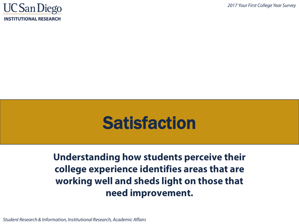

# **Satisfaction**

**Understanding how students perceive their college experience identifies areas that are working well and sheds light on those that need improvement.**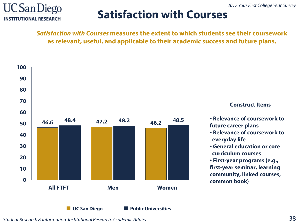

### **Satisfaction with Courses**

*Satisfaction with Courses* **measures the extent to which students see their coursework as relevant, useful, and applicable to their academic success and future plans.**

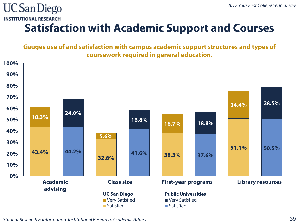

# **Satisfaction with Academic Support and Courses**

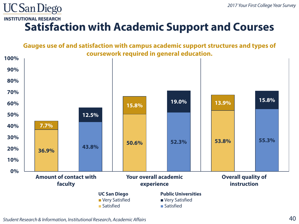#### **INSTITUTIONAL RESEARCH**

**UC San Diego** 

### **Satisfaction with Academic Support and Courses**

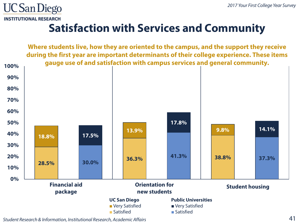

### **Satisfaction with Services and Community**

**Where students live, how they are oriented to the campus, and the support they receive during the first year are important determinants of their college experience. These items gauge use of and satisfaction with campus services and general community. 28.5% 30.0% 36.3% 41.3% 38.8% 37.3% 18.8% 17.5% 13.9% 17.8% 9.8% 14.1% 0% 10% 20% 30% 40% 50% 60% 70% 80% 90% 100% Financial aid package Orientation for new students Student housing UC San Diego ■** Very Satisfied **■** Satisfied **Public Universities ■** Very Satisfied **■** Satisfied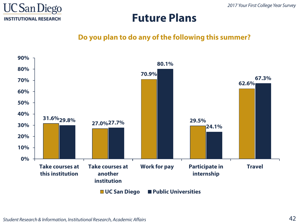

### **Future Plans**

#### **Do you plan to do any of the following this summer?**

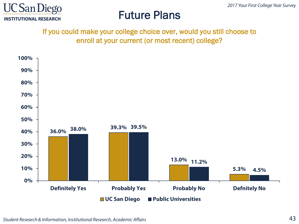

### Future Plans

#### If you could make your college choice over, would you still choose to enroll at your current (or most recent) college?

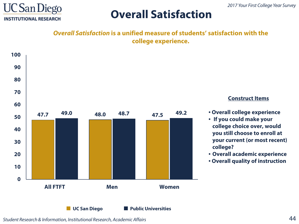

### **Overall Satisfaction**

*Overall Satisfaction* **is a unified measure of students' satisfaction with the college experience.**



**Construct Items**

- **Overall college experience**
- **If you could make your college choice over, would you still choose to enroll at your current (or most recent) college?**
- **Overall academic experience**
- **Overall quality of instruction**